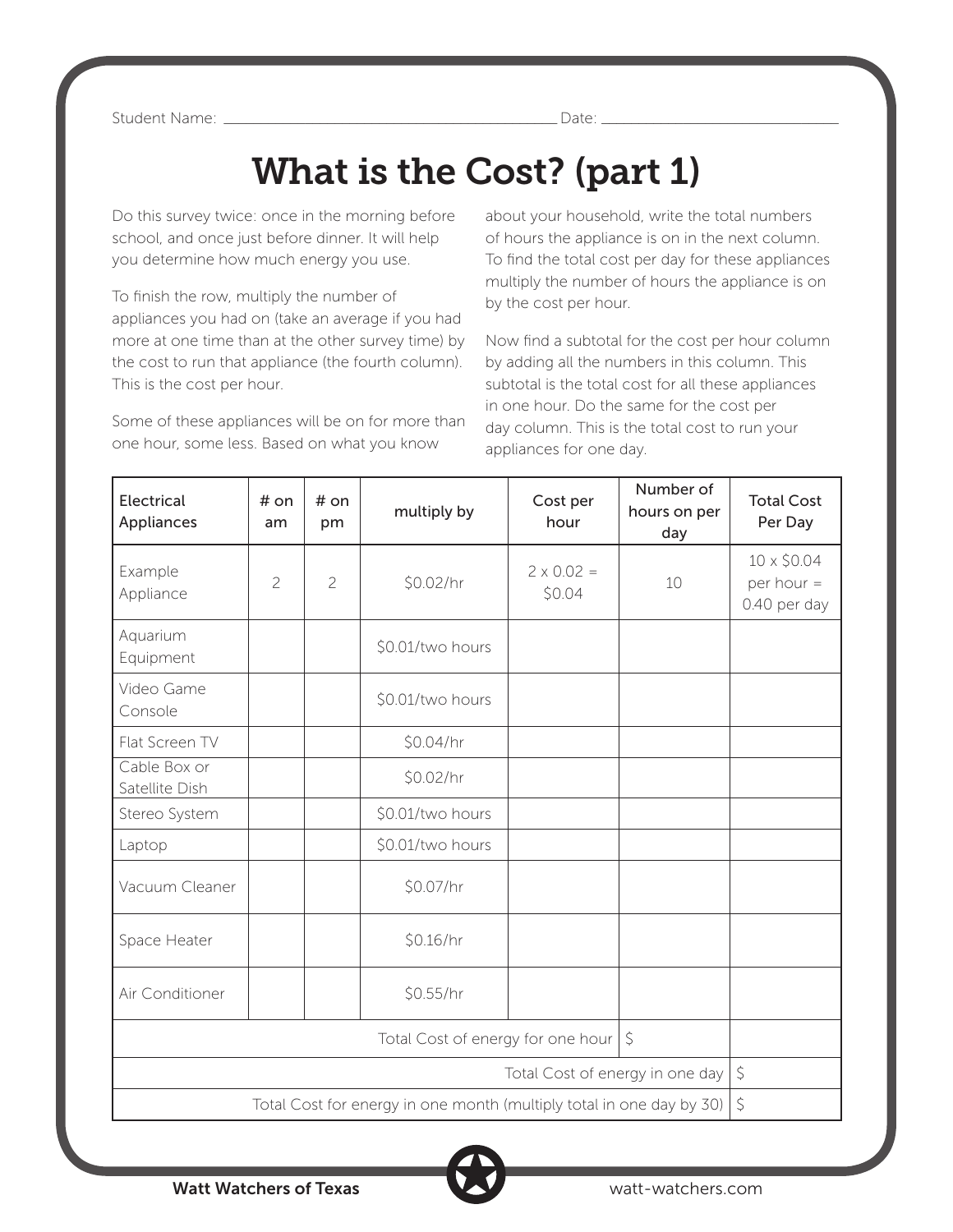Student Name: \_\_\_\_\_\_\_\_\_\_\_\_\_\_\_\_\_\_\_\_\_\_\_\_\_\_\_\_\_\_\_\_\_\_\_\_\_\_\_\_\_\_\_\_\_Date: \_\_\_\_\_\_\_\_\_\_\_\_\_\_\_\_\_\_\_\_\_\_\_\_\_\_\_\_\_\_\_\_

## What is the Cost? (part 1)

Do this survey twice: once in the morning before school, and once just before dinner. It will help you determine how much energy you use.

To finish the row, multiply the number of appliances you had on (take an average if you had more at one time than at the other survey time) by the cost to run that appliance (the fourth column). This is the cost per hour.

Some of these appliances will be on for more than one hour, some less. Based on what you know

about your household, write the total numbers of hours the appliance is on in the next column. To find the total cost per day for these appliances multiply the number of hours the appliance is on by the cost per hour.

Now find a subtotal for the cost per hour column by adding all the numbers in this column. This subtotal is the total cost for all these appliances in one hour. Do the same for the cost per day column. This is the total cost to run your appliances for one day.

| <b>Electrical</b><br>Appliances                                      | # on<br>am     | # on<br>pm     | multiply by      | Cost per<br>hour            | Number of<br>hours on per<br>day | <b>Total Cost</b><br>Per Day                |
|----------------------------------------------------------------------|----------------|----------------|------------------|-----------------------------|----------------------------------|---------------------------------------------|
| Example<br>Appliance                                                 | $\overline{c}$ | $\overline{c}$ | \$0.02/hr        | $2 \times 0.02 =$<br>\$0.04 | 10                               | 10 x \$0.04<br>per hour $=$<br>0.40 per day |
| Aquarium<br>Equipment                                                |                |                | \$0.01/two hours |                             |                                  |                                             |
| Video Game<br>Console                                                |                |                | \$0.01/two hours |                             |                                  |                                             |
| Flat Screen TV                                                       |                |                | \$0.04/hr        |                             |                                  |                                             |
| Cable Box or<br>Satellite Dish                                       |                |                | \$0.02/hr        |                             |                                  |                                             |
| Stereo System                                                        |                |                | \$0.01/two hours |                             |                                  |                                             |
| Laptop                                                               |                |                | \$0.01/two hours |                             |                                  |                                             |
| Vacuum Cleaner                                                       |                |                | \$0.07/hr        |                             |                                  |                                             |
| Space Heater                                                         |                |                | \$0.16/hr        |                             |                                  |                                             |
| Air Conditioner                                                      |                |                | \$0.55/hr        |                             |                                  |                                             |
| $\zeta$<br>Total Cost of energy for one hour                         |                |                |                  |                             |                                  |                                             |
| Total Cost of energy in one day                                      |                |                |                  |                             |                                  | $\zeta$                                     |
| Total Cost for energy in one month (multiply total in one day by 30) |                |                |                  |                             | $\zeta$                          |                                             |